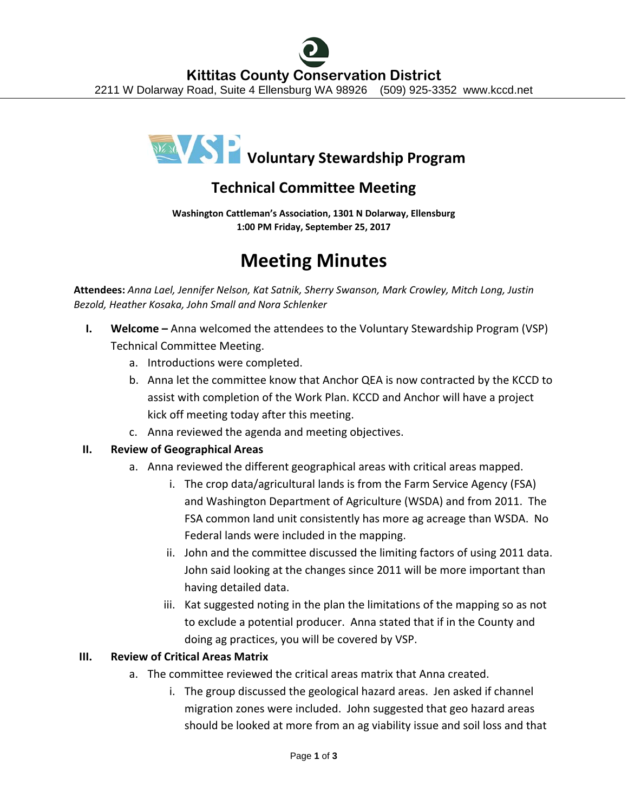

# **Technical Committee Meeting**

**Washington Cattleman's Association, 1301 N Dolarway, Ellensburg 1:00 PM Friday, September 25, 2017**

# **Meeting Minutes**

**Attendees:** *Anna Lael, Jennifer Nelson, Kat Satnik, Sherry Swanson, Mark Crowley, Mitch Long, Justin Bezold, Heather Kosaka, John Small and Nora Schlenker*

- **I. Welcome** Anna welcomed the attendees to the Voluntary Stewardship Program (VSP) Technical Committee Meeting.
	- a. Introductions were completed.
	- b. Anna let the committee know that Anchor QEA is now contracted by the KCCD to assist with completion of the Work Plan. KCCD and Anchor will have a project kick off meeting today after this meeting.
	- c. Anna reviewed the agenda and meeting objectives.

## **II. Review of Geographical Areas**

- a. Anna reviewed the different geographical areas with critical areas mapped.
	- i. The crop data/agricultural lands is from the Farm Service Agency (FSA) and Washington Department of Agriculture (WSDA) and from 2011. The FSA common land unit consistently has more ag acreage than WSDA. No Federal lands were included in the mapping.
	- ii. John and the committee discussed the limiting factors of using 2011 data. John said looking at the changes since 2011 will be more important than having detailed data.
	- iii. Kat suggested noting in the plan the limitations of the mapping so as not to exclude a potential producer. Anna stated that if in the County and doing ag practices, you will be covered by VSP.

## **III. Review of Critical Areas Matrix**

- a. The committee reviewed the critical areas matrix that Anna created.
	- i. The group discussed the geological hazard areas. Jen asked if channel migration zones were included. John suggested that geo hazard areas should be looked at more from an ag viability issue and soil loss and that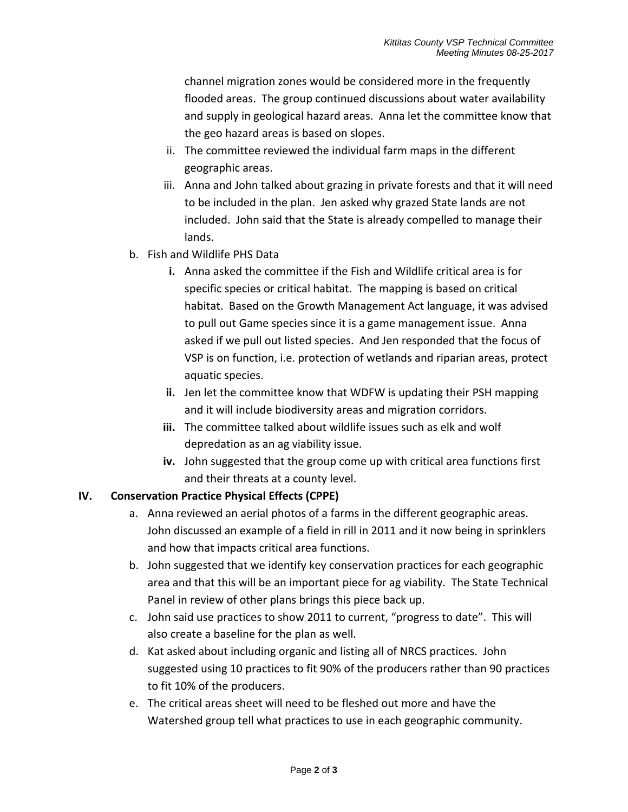channel migration zones would be considered more in the frequently flooded areas. The group continued discussions about water availability and supply in geological hazard areas. Anna let the committee know that the geo hazard areas is based on slopes.

- ii. The committee reviewed the individual farm maps in the different geographic areas.
- iii. Anna and John talked about grazing in private forests and that it will need to be included in the plan. Jen asked why grazed State lands are not included. John said that the State is already compelled to manage their lands.
- b. Fish and Wildlife PHS Data
	- **i.** Anna asked the committee if the Fish and Wildlife critical area is for specific species or critical habitat. The mapping is based on critical habitat. Based on the Growth Management Act language, it was advised to pull out Game species since it is a game management issue. Anna asked if we pull out listed species. And Jen responded that the focus of VSP is on function, i.e. protection of wetlands and riparian areas, protect aquatic species.
	- **ii.** Jen let the committee know that WDFW is updating their PSH mapping and it will include biodiversity areas and migration corridors.
	- **iii.** The committee talked about wildlife issues such as elk and wolf depredation as an ag viability issue.
	- **iv.** John suggested that the group come up with critical area functions first and their threats at a county level.

## **IV. Conservation Practice Physical Effects (CPPE)**

- a. Anna reviewed an aerial photos of a farms in the different geographic areas. John discussed an example of a field in rill in 2011 and it now being in sprinklers and how that impacts critical area functions.
- b. John suggested that we identify key conservation practices for each geographic area and that this will be an important piece for ag viability. The State Technical Panel in review of other plans brings this piece back up.
- c. John said use practices to show 2011 to current, "progress to date". This will also create a baseline for the plan as well.
- d. Kat asked about including organic and listing all of NRCS practices. John suggested using 10 practices to fit 90% of the producers rather than 90 practices to fit 10% of the producers.
- e. The critical areas sheet will need to be fleshed out more and have the Watershed group tell what practices to use in each geographic community.